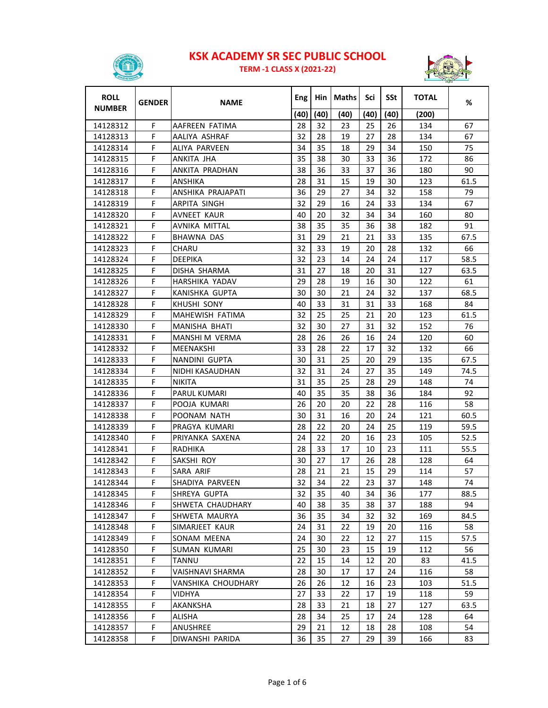

**TERM ‐1 CLASS X (2021‐22)**



| <b>ROLL</b><br><b>NUMBER</b> | <b>GENDER</b> | <b>NAME</b>            | Eng  | Hin  | Maths | Sci  | SSt  | <b>TOTAL</b> | %    |
|------------------------------|---------------|------------------------|------|------|-------|------|------|--------------|------|
|                              |               |                        | (40) | (40) | (40)  | (40) | (40) | (200)        |      |
| 14128312                     | F             | AAFREEN FATIMA         | 28   | 32   | 23    | 25   | 26   | 134          | 67   |
| 14128313                     | F             | AALIYA ASHRAF          | 32   | 28   | 19    | 27   | 28   | 134          | 67   |
| 14128314                     | F             | ALIYA PARVEEN          | 34   | 35   | 18    | 29   | 34   | 150          | 75   |
| 14128315                     | F             | ANKITA JHA             | 35   | 38   | 30    | 33   | 36   | 172          | 86   |
| 14128316                     | F             | ANKITA PRADHAN         | 38   | 36   | 33    | 37   | 36   | 180          | 90   |
| 14128317                     | F             | <b>ANSHIKA</b>         | 28   | 31   | 15    | 19   | 30   | 123          | 61.5 |
| 14128318                     | F             | ANSHIKA PRAJAPATI      | 36   | 29   | 27    | 34   | 32   | 158          | 79   |
| 14128319                     | F             | ARPITA SINGH           | 32   | 29   | 16    | 24   | 33   | 134          | 67   |
| 14128320                     | F             | AVNEET KAUR            | 40   | 20   | 32    | 34   | 34   | 160          | 80   |
| 14128321                     | F             | AVNIKA MITTAL          | 38   | 35   | 35    | 36   | 38   | 182          | 91   |
| 14128322                     | F             | BHAWNA DAS             | 31   | 29   | 21    | 21   | 33   | 135          | 67.5 |
| 14128323                     | F             | CHARU                  | 32   | 33   | 19    | 20   | 28   | 132          | 66   |
| 14128324                     | F             | DEEPIKA                | 32   | 23   | 14    | 24   | 24   | 117          | 58.5 |
| 14128325                     | F             | DISHA SHARMA           | 31   | 27   | 18    | 20   | 31   | 127          | 63.5 |
| 14128326                     | F             | HARSHIKA YADAV         | 29   | 28   | 19    | 16   | 30   | 122          | 61   |
| 14128327                     | F             | KANISHKA GUPTA         | 30   | 30   | 21    | 24   | 32   | 137          | 68.5 |
| 14128328                     | F             | <b>KHUSHI SONY</b>     | 40   | 33   | 31    | 31   | 33   | 168          | 84   |
| 14128329                     | F             | <b>MAHEWISH FATIMA</b> | 32   | 25   | 25    | 21   | 20   | 123          | 61.5 |
| 14128330                     | F             | MANISHA BHATI          | 32   | 30   | 27    | 31   | 32   | 152          | 76   |
| 14128331                     | F.            | MANSHI M VERMA         | 28   | 26   | 26    | 16   | 24   | 120          | 60   |
| 14128332                     | F             | MEENAKSHI              | 33   | 28   | 22    | 17   | 32   | 132          | 66   |
| 14128333                     | F             | NANDINI GUPTA          | 30   | 31   | 25    | 20   | 29   | 135          | 67.5 |
| 14128334                     | F             | NIDHI KASAUDHAN        | 32   | 31   | 24    | 27   | 35   | 149          | 74.5 |
| 14128335                     | F             | <b>NIKITA</b>          | 31   | 35   | 25    | 28   | 29   | 148          | 74   |
| 14128336                     | F             | PARUL KUMARI           | 40   | 35   | 35    | 38   | 36   | 184          | 92   |
| 14128337                     | F             | POOJA KUMARI           | 26   | 20   | 20    | 22   | 28   | 116          | 58   |
| 14128338                     | F             | POONAM NATH            | 30   | 31   | 16    | 20   | 24   | 121          | 60.5 |
| 14128339                     | F             | PRAGYA KUMARI          | 28   | 22   | 20    | 24   | 25   | 119          | 59.5 |
| 14128340                     | F             | PRIYANKA SAXENA        | 24   | 22   | 20    | 16   | 23   | 105          | 52.5 |
| 14128341                     | F             | <b>RADHIKA</b>         | 28   | 33   | 17    | 10   | 23   | 111          | 55.5 |
| 14128342                     | F             | SAKSHI ROY             | 30   | 27   | 17    | 26   | 28   | 128          | 64   |
| 14128343                     | F             | SARA ARIF              | 28   | 21   | 21    | 15   | 29   | 114          | 57   |
| 14128344                     | F             | SHADIYA PARVEEN        | 32   | 34   | 22    | 23   | 37   | 148          | 74   |
| 14128345                     | F             | SHREYA GUPTA           | 32   | 35   | 40    | 34   | 36   | 177          | 88.5 |
| 14128346                     | F             | SHWETA CHAUDHARY       | 40   | 38   | 35    | 38   | 37   | 188          | 94   |
| 14128347                     | F             | SHWETA MAURYA          | 36   | 35   | 34    | 32   | 32   | 169          | 84.5 |
| 14128348                     | F             | SIMARJEET KAUR         | 24   | 31   | 22    | 19   | 20   | 116          | 58   |
| 14128349                     | F             | SONAM MEENA            | 24   | 30   | 22    | 12   | 27   | 115          | 57.5 |
| 14128350                     | F             | <b>SUMAN KUMARI</b>    | 25   | 30   | 23    | 15   | 19   | 112          | 56   |
| 14128351                     | F             | TANNU                  | 22   | 15   | 14    | 12   | 20   | 83           | 41.5 |
| 14128352                     | F             | VAISHNAVI SHARMA       | 28   | 30   | 17    | 17   | 24   | 116          | 58   |
| 14128353                     | F             | VANSHIKA CHOUDHARY     | 26   | 26   | 12    | 16   | 23   | 103          | 51.5 |
| 14128354                     | F             | VIDHYA                 | 27   | 33   | 22    | 17   | 19   | 118          | 59   |
| 14128355                     | F             | AKANKSHA               | 28   | 33   | 21    | 18   | 27   | 127          | 63.5 |
| 14128356                     | F             | ALISHA                 | 28   | 34   | 25    | 17   | 24   | 128          | 64   |
| 14128357                     | F             | ANUSHREE               | 29   | 21   | 12    | 18   | 28   | 108          | 54   |
| 14128358                     | F             | DIWANSHI PARIDA        | 36   | 35   | 27    | 29   | 39   | 166          | 83   |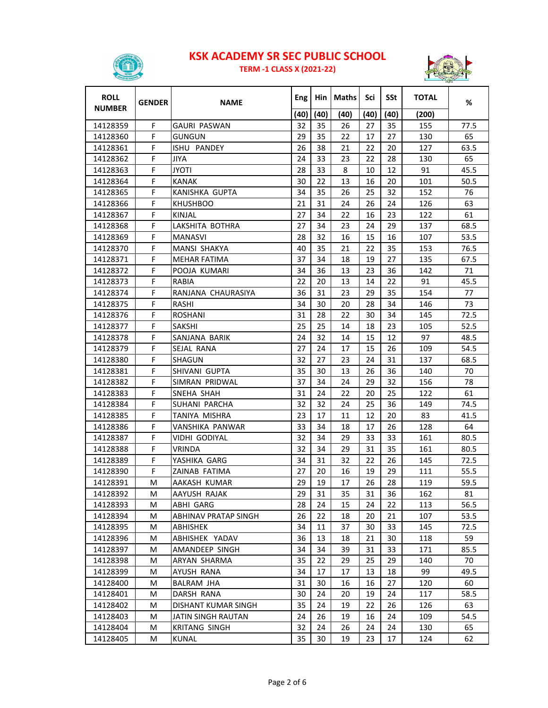

**TERM ‐1 CLASS X (2021‐22)**



| <b>ROLL</b>   | <b>GENDER</b> | <b>NAME</b>          | Eng  | Hin  | Maths | Sci  | SSt  | <b>TOTAL</b> | %    |
|---------------|---------------|----------------------|------|------|-------|------|------|--------------|------|
| <b>NUMBER</b> |               |                      | (40) | (40) | (40)  | (40) | (40) | (200)        |      |
| 14128359      | F             | <b>GAURI PASWAN</b>  | 32   | 35   | 26    | 27   | 35   | 155          | 77.5 |
| 14128360      | F             | <b>GUNGUN</b>        | 29   | 35   | 22    | 17   | 27   | 130          | 65   |
| 14128361      | F             | ISHU PANDEY          | 26   | 38   | 21    | 22   | 20   | 127          | 63.5 |
| 14128362      | F             | JIYA                 | 24   | 33   | 23    | 22   | 28   | 130          | 65   |
| 14128363      | F             | JYOTI                | 28   | 33   | 8     | 10   | 12   | 91           | 45.5 |
| 14128364      | F             | KANAK                | 30   | 22   | 13    | 16   | 20   | 101          | 50.5 |
| 14128365      | F             | KANISHKA GUPTA       | 34   | 35   | 26    | 25   | 32   | 152          | 76   |
| 14128366      | F             | <b>KHUSHBOO</b>      | 21   | 31   | 24    | 26   | 24   | 126          | 63   |
| 14128367      | F             | KINJAL               | 27   | 34   | 22    | 16   | 23   | 122          | 61   |
| 14128368      | F             | LAKSHITA BOTHRA      | 27   | 34   | 23    | 24   | 29   | 137          | 68.5 |
| 14128369      | F             | MANASVI              | 28   | 32   | 16    | 15   | 16   | 107          | 53.5 |
| 14128370      | F             | MANSI SHAKYA         | 40   | 35   | 21    | 22   | 35   | 153          | 76.5 |
| 14128371      | F             | <b>MEHAR FATIMA</b>  | 37   | 34   | 18    | 19   | 27   | 135          | 67.5 |
| 14128372      | F             | POOJA KUMARI         | 34   | 36   | 13    | 23   | 36   | 142          | 71   |
| 14128373      | F             | RABIA                | 22   | 20   | 13    | 14   | 22   | 91           | 45.5 |
| 14128374      | F             | RANJANA CHAURASIYA   | 36   | 31   | 23    | 29   | 35   | 154          | 77   |
| 14128375      | F             | <b>RASHI</b>         | 34   | 30   | 20    | 28   | 34   | 146          | 73   |
| 14128376      | F             | ROSHANI              | 31   | 28   | 22    | 30   | 34   | 145          | 72.5 |
| 14128377      | F             | SAKSHI               | 25   | 25   | 14    | 18   | 23   | 105          | 52.5 |
| 14128378      | F             | SANJANA BARIK        | 24   | 32   | 14    | 15   | 12   | 97           | 48.5 |
| 14128379      | F             | SEJAL RANA           | 27   | 24   | 17    | 15   | 26   | 109          | 54.5 |
| 14128380      | F             | SHAGUN               | 32   | 27   | 23    | 24   | 31   | 137          | 68.5 |
| 14128381      | F             | SHIVANI GUPTA        | 35   | 30   | 13    | 26   | 36   | 140          | 70   |
| 14128382      | F             | SIMRAN PRIDWAL       | 37   | 34   | 24    | 29   | 32   | 156          | 78   |
| 14128383      | F             | SNEHA SHAH           | 31   | 24   | 22    | 20   | 25   | 122          | 61   |
| 14128384      | F             | SUHANI PARCHA        | 32   | 32   | 24    | 25   | 36   | 149          | 74.5 |
| 14128385      | F             | TANIYA MISHRA        | 23   | 17   | 11    | 12   | 20   | 83           | 41.5 |
| 14128386      | F             | VANSHIKA PANWAR      | 33   | 34   | 18    | 17   | 26   | 128          | 64   |
| 14128387      | F             | VIDHI GODIYAL        | 32   | 34   | 29    | 33   | 33   | 161          | 80.5 |
| 14128388      | F             | VRINDA               | 32   | 34   | 29    | 31   | 35   | 161          | 80.5 |
| 14128389      | F             | YASHIKA GARG         | 34   | 31   | 32    | 22   | 26   | 145          | 72.5 |
| 14128390      | F             | ZAINAB FATIMA        | 27   | 20   | 16    | 19   | 29   | 111          | 55.5 |
| 14128391      | м             | AAKASH KUMAR         | 29   | 19   | 17    | 26   | 28   | 119          | 59.5 |
| 14128392      | М             | AAYUSH RAJAK         | 29   | 31   | 35    | 31   | 36   | 162          | 81   |
| 14128393      | M             | ABHI GARG            | 28   | 24   | 15    | 24   | 22   | 113          | 56.5 |
| 14128394      | M             | ABHINAV PRATAP SINGH | 26   | 22   | 18    | 20   | 21   | 107          | 53.5 |
| 14128395      | M             | ABHISHEK             | 34   | 11   | 37    | 30   | 33   | 145          | 72.5 |
| 14128396      | M             | ABHISHEK YADAV       | 36   | 13   | 18    | 21   | 30   | 118          | 59   |
| 14128397      | M             | AMANDEEP SINGH       | 34   | 34   | 39    | 31   | 33   | 171          | 85.5 |
| 14128398      | М             | ARYAN SHARMA         | 35   | 22   | 29    | 25   | 29   | 140          | 70   |
| 14128399      | м             | AYUSH RANA           | 34   | 17   | 17    | 13   | 18   | 99           | 49.5 |
| 14128400      | M             | BALRAM JHA           | 31   | 30   | 16    | 16   | 27   | 120          | 60   |
| 14128401      | м             | DARSH RANA           | 30   | 24   | 20    | 19   | 24   | 117          | 58.5 |
| 14128402      | M             | DISHANT KUMAR SINGH  | 35   | 24   | 19    | 22   | 26   | 126          | 63   |
| 14128403      | M             | JATIN SINGH RAUTAN   | 24   | 26   | 19    | 16   | 24   | 109          | 54.5 |
| 14128404      | М             | KRITANG SINGH        | 32   | 24   | 26    | 24   | 24   | 130          | 65   |
| 14128405      | М             | KUNAL                | 35   | 30   | 19    | 23   | 17   | 124          | 62   |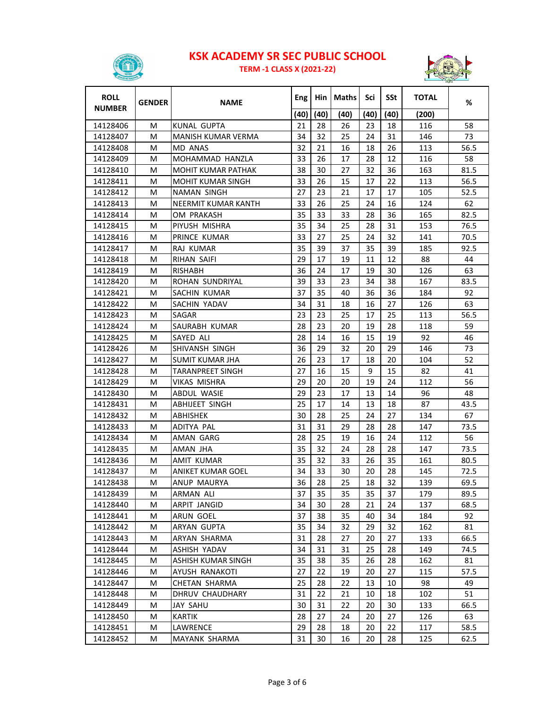

**TERM ‐1 CLASS X (2021‐22)**



| <b>ROLL</b><br><b>NUMBER</b> | <b>GENDER</b> | <b>NAME</b>              | Eng  | Hin  | <b>Maths</b> | Sci  | SSt  | <b>TOTAL</b> | %    |
|------------------------------|---------------|--------------------------|------|------|--------------|------|------|--------------|------|
|                              |               |                          | (40) | (40) | (40)         | (40) | (40) | (200)        |      |
| 14128406                     | М             | KUNAL GUPTA              | 21   | 28   | 26           | 23   | 18   | 116          | 58   |
| 14128407                     | м             | MANISH KUMAR VERMA       | 34   | 32   | 25           | 24   | 31   | 146          | 73   |
| 14128408                     | М             | MD ANAS                  | 32   | 21   | 16           | 18   | 26   | 113          | 56.5 |
| 14128409                     | М             | MOHAMMAD HANZLA          | 33   | 26   | 17           | 28   | 12   | 116          | 58   |
| 14128410                     | M             | MOHIT KUMAR PATHAK       | 38   | 30   | 27           | 32   | 36   | 163          | 81.5 |
| 14128411                     | М             | <b>MOHIT KUMAR SINGH</b> | 33   | 26   | 15           | 17   | 22   | 113          | 56.5 |
| 14128412                     | М             | NAMAN SINGH              | 27   | 23   | 21           | 17   | 17   | 105          | 52.5 |
| 14128413                     | М             | NEERMIT KUMAR KANTH      | 33   | 26   | 25           | 24   | 16   | 124          | 62   |
| 14128414                     | М             | OM PRAKASH               | 35   | 33   | 33           | 28   | 36   | 165          | 82.5 |
| 14128415                     | м             | PIYUSH MISHRA            | 35   | 34   | 25           | 28   | 31   | 153          | 76.5 |
| 14128416                     | М             | PRINCE KUMAR             | 33   | 27   | 25           | 24   | 32   | 141          | 70.5 |
| 14128417                     | М             | RAJ KUMAR                | 35   | 39   | 37           | 35   | 39   | 185          | 92.5 |
| 14128418                     | м             | <b>RIHAN SAIFI</b>       | 29   | 17   | 19           | 11   | 12   | 88           | 44   |
| 14128419                     | м             | RISHABH                  | 36   | 24   | 17           | 19   | 30   | 126          | 63   |
| 14128420                     | м             | ROHAN SUNDRIYAL          | 39   | 33   | 23           | 34   | 38   | 167          | 83.5 |
| 14128421                     | М             | SACHIN KUMAR             | 37   | 35   | 40           | 36   | 36   | 184          | 92   |
| 14128422                     | м             | SACHIN YADAV             | 34   | 31   | 18           | 16   | 27   | 126          | 63   |
| 14128423                     | М             | SAGAR                    | 23   | 23   | 25           | 17   | 25   | 113          | 56.5 |
| 14128424                     | М             | SAURABH KUMAR            | 28   | 23   | 20           | 19   | 28   | 118          | 59   |
| 14128425                     | М             | SAYED ALI                | 28   | 14   | 16           | 15   | 19   | 92           | 46   |
| 14128426                     | М             | <b>SHIVANSH SINGH</b>    | 36   | 29   | 32           | 20   | 29   | 146          | 73   |
| 14128427                     | М             | <b>SUMIT KUMAR JHA</b>   | 26   | 23   | 17           | 18   | 20   | 104          | 52   |
| 14128428                     | М             | TARANPREET SINGH         | 27   | 16   | 15           | 9    | 15   | 82           | 41   |
| 14128429                     | М             | VIKAS MISHRA             | 29   | 20   | 20           | 19   | 24   | 112          | 56   |
| 14128430                     | М             | ABDUL WASIE              | 29   | 23   | 17           | 13   | 14   | 96           | 48   |
| 14128431                     | м             | <b>ABHIJEET SINGH</b>    | 25   | 17   | 14           | 13   | 18   | 87           | 43.5 |
| 14128432                     | М             | ABHISHEK                 | 30   | 28   | 25           | 24   | 27   | 134          | 67   |
| 14128433                     | М             | ADITYA PAL               | 31   | 31   | 29           | 28   | 28   | 147          | 73.5 |
| 14128434                     | М             | AMAN GARG                | 28   | 25   | 19           | 16   | 24   | 112          | 56   |
| 14128435                     | М             | AMAN JHA                 | 35   | 32   | 24           | 28   | 28   | 147          | 73.5 |
| 14128436                     | M             | AMIT KUMAR               | 35   | 32   | 33           | 26   | 35   | 161          | 80.5 |
| 14128437                     | М             | <b>ANIKET KUMAR GOEL</b> | 34   | 33   | 30           | 20   | 28   | 145          | 72.5 |
| 14128438                     | M             | ANUP MAURYA              | 36   | 28   | 25           | 18   | 32   | 139          | 69.5 |
| 14128439                     | M             | <b>ARMAN ALI</b>         | 37   | 35   | 35           | 35   | 37   | 179          | 89.5 |
| 14128440                     | М             | ARPIT JANGID             | 34   | 30   | 28           | 21   | 24   | 137          | 68.5 |
| 14128441                     | М             | ARUN GOEL                | 37   | 38   | 35           | 40   | 34   | 184          | 92   |
| 14128442                     | М             | ARYAN GUPTA              | 35   | 34   | 32           | 29   | 32   | 162          | 81   |
| 14128443                     | М             | ARYAN SHARMA             | 31   | 28   | 27           | 20   | 27   | 133          | 66.5 |
| 14128444                     | M             | ASHISH YADAV             | 34   | 31   | 31           | 25   | 28   | 149          | 74.5 |
| 14128445                     | M             | ASHISH KUMAR SINGH       | 35   | 38   | 35           | 26   | 28   | 162          | 81   |
| 14128446                     | M             | AYUSH RANAKOTI           | 27   | 22   | 19           | 20   | 27   | 115          | 57.5 |
| 14128447                     | М             | CHETAN SHARMA            | 25   | 28   | 22           | 13   | 10   | 98           | 49   |
| 14128448                     | M             | DHRUV CHAUDHARY          | 31   | 22   | 21           | 10   | 18   | 102          | 51   |
| 14128449                     | M             | JAY SAHU                 | 30   | 31   | 22           | 20   | 30   | 133          | 66.5 |
| 14128450                     | М             | KARTIK                   | 28   | 27   | 24           | 20   | 27   | 126          | 63   |
| 14128451                     | М             | LAWRENCE                 | 29   | 28   | 18           | 20   | 22   | 117          | 58.5 |
| 14128452                     | M             | MAYANK SHARMA            | 31   | 30   | 16           | 20   | 28   | 125          | 62.5 |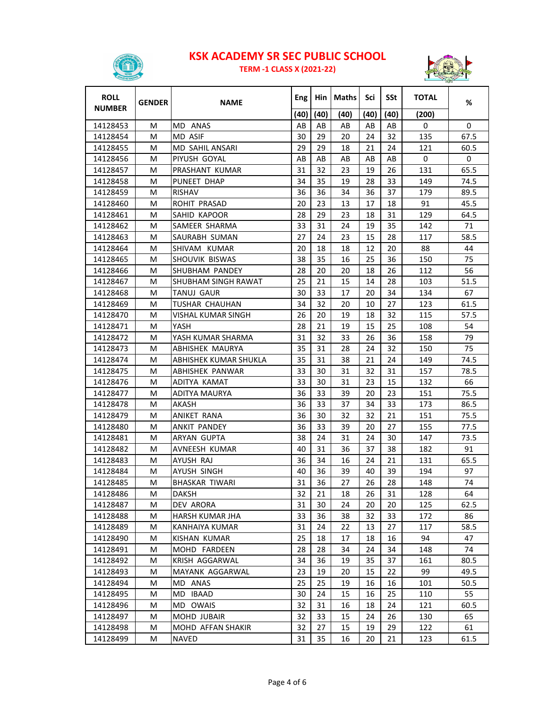

**TERM ‐1 CLASS X (2021‐22)**



| <b>ROLL</b><br><b>NUMBER</b> | <b>GENDER</b> | <b>NAME</b>           | Eng  | Hin  | <b>Maths</b> | Sci  | SSt  | <b>TOTAL</b> | %        |
|------------------------------|---------------|-----------------------|------|------|--------------|------|------|--------------|----------|
|                              |               |                       | (40) | (40) | (40)         | (40) | (40) | (200)        |          |
| 14128453                     | М             | MD ANAS               | AB   | AB   | AB           | AB   | AB   | 0            | $\Omega$ |
| 14128454                     | м             | <b>MD ASIF</b>        | 30   | 29   | 20           | 24   | 32   | 135          | 67.5     |
| 14128455                     | М             | MD SAHIL ANSARI       | 29   | 29   | 18           | 21   | 24   | 121          | 60.5     |
| 14128456                     | М             | PIYUSH GOYAL          | AB   | AB   | AB           | AB   | AB   | 0            | 0        |
| 14128457                     | М             | PRASHANT KUMAR        | 31   | 32   | 23           | 19   | 26   | 131          | 65.5     |
| 14128458                     | М             | PUNEET DHAP           | 34   | 35   | 19           | 28   | 33   | 149          | 74.5     |
| 14128459                     | М             | <b>RISHAV</b>         | 36   | 36   | 34           | 36   | 37   | 179          | 89.5     |
| 14128460                     | М             | <b>ROHIT PRASAD</b>   | 20   | 23   | 13           | 17   | 18   | 91           | 45.5     |
| 14128461                     | М             | SAHID KAPOOR          | 28   | 29   | 23           | 18   | 31   | 129          | 64.5     |
| 14128462                     | М             | SAMEER SHARMA         | 33   | 31   | 24           | 19   | 35   | 142          | 71       |
| 14128463                     | М             | SAURABH SUMAN         | 27   | 24   | 23           | 15   | 28   | 117          | 58.5     |
| 14128464                     | м             | SHIVAM KUMAR          | 20   | 18   | 18           | 12   | 20   | 88           | 44       |
| 14128465                     | м             | SHOUVIK BISWAS        | 38   | 35   | 16           | 25   | 36   | 150          | 75       |
| 14128466                     | м             | SHUBHAM PANDEY        | 28   | 20   | 20           | 18   | 26   | 112          | 56       |
| 14128467                     | M             | SHUBHAM SINGH RAWAT   | 25   | 21   | 15           | 14   | 28   | 103          | 51.5     |
| 14128468                     | М             | TANUJ GAUR            | 30   | 33   | 17           | 20   | 34   | 134          | 67       |
| 14128469                     | М             | TUSHAR CHAUHAN        | 34   | 32   | 20           | 10   | 27   | 123          | 61.5     |
| 14128470                     | М             | VISHAL KUMAR SINGH    | 26   | 20   | 19           | 18   | 32   | 115          | 57.5     |
| 14128471                     | M             | YASH                  | 28   | 21   | 19           | 15   | 25   | 108          | 54       |
| 14128472                     | М             | YASH KUMAR SHARMA     | 31   | 32   | 33           | 26   | 36   | 158          | 79       |
| 14128473                     | М             | ABHISHEK MAURYA       | 35   | 31   | 28           | 24   | 32   | 150          | 75       |
| 14128474                     | М             | ABHISHEK KUMAR SHUKLA | 35   | 31   | 38           | 21   | 24   | 149          | 74.5     |
| 14128475                     | м             | ABHISHEK PANWAR       | 33   | 30   | 31           | 32   | 31   | 157          | 78.5     |
| 14128476                     | м             | ADITYA KAMAT          | 33   | 30   | 31           | 23   | 15   | 132          | 66       |
| 14128477                     | м             | ADITYA MAURYA         | 36   | 33   | 39           | 20   | 23   | 151          | 75.5     |
| 14128478                     | м             | AKASH                 | 36   | 33   | 37           | 34   | 33   | 173          | 86.5     |
| 14128479                     | м             | ANIKET RANA           | 36   | 30   | 32           | 32   | 21   | 151          | 75.5     |
| 14128480                     | М             | ANKIT PANDEY          | 36   | 33   | 39           | 20   | 27   | 155          | 77.5     |
| 14128481                     | М             | ARYAN GUPTA           | 38   | 24   | 31           | 24   | 30   | 147          | 73.5     |
| 14128482                     | м             | AVNEESH KUMAR         | 40   | 31   | 36           | 37   | 38   | 182          | 91       |
| 14128483                     | M             | AYUSH RAJ             | 36   | 34   | 16           | 24   | 21   | 131          | 65.5     |
| 14128484                     | м             | AYUSH SINGH           | 40   | 36   | 39           | 40   | 39   | 194          | 97       |
| 14128485                     | M             | <b>BHASKAR TIWARI</b> | 31   | 36   | 27           | 26   | 28   | 148          | 74       |
| 14128486                     | М             | DAKSH                 | 32   | 21   | 18           | 26   | 31   | 128          | 64       |
| 14128487                     | М             | DEV ARORA             | 31   | 30   | 24           | 20   | 20   | 125          | 62.5     |
| 14128488                     | M             | HARSH KUMAR JHA       | 33   | 36   | 38           | 32   | 33   | 172          | 86       |
| 14128489                     | м             | KANHAIYA KUMAR        | 31   | 24   | 22           | 13   | 27   | 117          | 58.5     |
| 14128490                     | M             | KISHAN KUMAR          | 25   | 18   | 17           | 18   | 16   | 94           | 47       |
| 14128491                     | M             | MOHD FARDEEN          | 28   | 28   | 34           | 24   | 34   | 148          | 74       |
| 14128492                     | M             | KRISH AGGARWAL        | 34   | 36   | 19           | 35   | 37   | 161          | 80.5     |
| 14128493                     | M             | MAYANK AGGARWAL       | 23   | 19   | 20           | 15   | 22   | 99           | 49.5     |
| 14128494                     | М             | MD ANAS               | 25   | 25   | 19           | 16   | 16   | 101          | 50.5     |
| 14128495                     | М             | MD IBAAD              | 30   | 24   | 15           | 16   | 25   | 110          | 55       |
| 14128496                     | M             | MD OWAIS              | 32   | 31   | 16           | 18   | 24   | 121          | 60.5     |
| 14128497                     | M             | MOHD JUBAIR           | 32   | 33   | 15           | 24   | 26   | 130          | 65       |
| 14128498                     | M             | MOHD AFFAN SHAKIR     | 32   | 27   | 15           | 19   | 29   | 122          | 61       |
| 14128499                     | М             | <b>NAVED</b>          | 31   | 35   | 16           | 20   | 21   | 123          | 61.5     |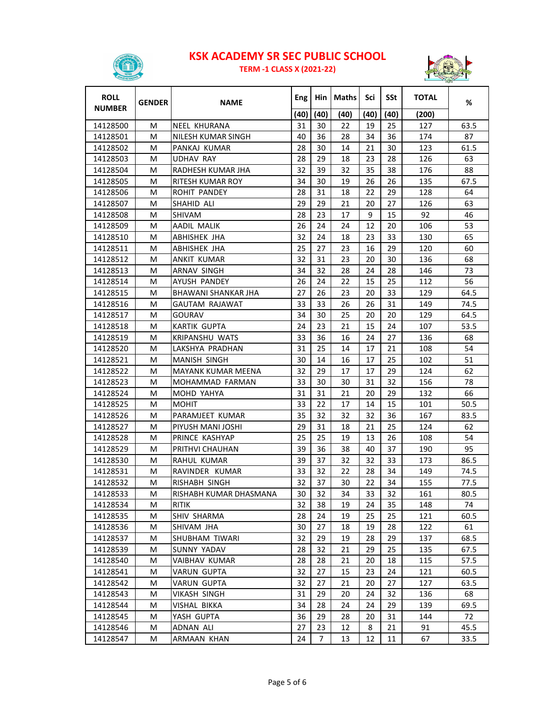

**TERM ‐1 CLASS X (2021‐22)**



| <b>ROLL</b>   | <b>GENDER</b> | <b>NAME</b>               | Eng  | Hin  | Maths | Sci  | SSt  | <b>TOTAL</b> | %    |
|---------------|---------------|---------------------------|------|------|-------|------|------|--------------|------|
| <b>NUMBER</b> |               |                           | (40) | (40) | (40)  | (40) | (40) | (200)        |      |
| 14128500      | М             | NEEL KHURANA              | 31   | 30   | 22    | 19   | 25   | 127          | 63.5 |
| 14128501      | м             | NILESH KUMAR SINGH        | 40   | 36   | 28    | 34   | 36   | 174          | 87   |
| 14128502      | м             | PANKAJ KUMAR              | 28   | 30   | 14    | 21   | 30   | 123          | 61.5 |
| 14128503      | М             | <b>UDHAV RAY</b>          | 28   | 29   | 18    | 23   | 28   | 126          | 63   |
| 14128504      | M             | RADHESH KUMAR JHA         | 32   | 39   | 32    | 35   | 38   | 176          | 88   |
| 14128505      | м             | RITESH KUMAR ROY          | 34   | 30   | 19    | 26   | 26   | 135          | 67.5 |
| 14128506      | М             | ROHIT PANDEY              | 28   | 31   | 18    | 22   | 29   | 128          | 64   |
| 14128507      | M             | SHAHID ALI                | 29   | 29   | 21    | 20   | 27   | 126          | 63   |
| 14128508      | М             | <b>SHIVAM</b>             | 28   | 23   | 17    | 9    | 15   | 92           | 46   |
| 14128509      | М             | <b>AADIL MALIK</b>        | 26   | 24   | 24    | 12   | 20   | 106          | 53   |
| 14128510      | M             | ABHISHEK JHA              | 32   | 24   | 18    | 23   | 33   | 130          | 65   |
| 14128511      | M             | ABHISHEK JHA              | 25   | 27   | 23    | 16   | 29   | 120          | 60   |
| 14128512      | М             | ANKIT KUMAR               | 32   | 31   | 23    | 20   | 30   | 136          | 68   |
| 14128513      | м             | ARNAV SINGH               | 34   | 32   | 28    | 24   | 28   | 146          | 73   |
| 14128514      | м             | AYUSH PANDEY              | 26   | 24   | 22    | 15   | 25   | 112          | 56   |
| 14128515      | м             | BHAWANI SHANKAR JHA       | 27   | 26   | 23    | 20   | 33   | 129          | 64.5 |
| 14128516      | м             | GAUTAM RAJAWAT            | 33   | 33   | 26    | 26   | 31   | 149          | 74.5 |
| 14128517      | М             | GOURAV                    | 34   | 30   | 25    | 20   | 20   | 129          | 64.5 |
| 14128518      | М             | <b>KARTIK GUPTA</b>       | 24   | 23   | 21    | 15   | 24   | 107          | 53.5 |
| 14128519      | м             | <b>KRIPANSHU WATS</b>     | 33   | 36   | 16    | 24   | 27   | 136          | 68   |
| 14128520      | м             | LAKSHYA PRADHAN           | 31   | 25   | 14    | 17   | 21   | 108          | 54   |
| 14128521      | M             | <b>MANISH SINGH</b>       | 30   | 14   | 16    | 17   | 25   | 102          | 51   |
| 14128522      | М             | <b>MAYANK KUMAR MEENA</b> | 32   | 29   | 17    | 17   | 29   | 124          | 62   |
| 14128523      | М             | MOHAMMAD FARMAN           | 33   | 30   | 30    | 31   | 32   | 156          | 78   |
| 14128524      | М             | MOHD YAHYA                | 31   | 31   | 21    | 20   | 29   | 132          | 66   |
| 14128525      | м             | <b>MOHIT</b>              | 33   | 22   | 17    | 14   | 15   | 101          | 50.5 |
| 14128526      | м             | PARAMJEET KUMAR           | 35   | 32   | 32    | 32   | 36   | 167          | 83.5 |
| 14128527      | м             | PIYUSH MANI JOSHI         | 29   | 31   | 18    | 21   | 25   | 124          | 62   |
| 14128528      | М             | PRINCE KASHYAP            | 25   | 25   | 19    | 13   | 26   | 108          | 54   |
| 14128529      | М             | PRITHVI CHAUHAN           | 39   | 36   | 38    | 40   | 37   | 190          | 95   |
| 14128530      | M             | RAHUL KUMAR               | 39   | 37   | 32    | 32   | 33   | 173          | 86.5 |
| 14128531      | М             | RAVINDER KUMAR            | 33   | 32   | 22    | 28   | 34   | 149          | 74.5 |
| 14128532      | м             | RISHABH SINGH             | 32   | 37   | 30    | 22   | 34   | 155          | 77.5 |
| 14128533      | М             | RISHABH KUMAR DHASMANA    | 30   | 32   | 34    | 33   | 32   | 161          | 80.5 |
| 14128534      | М             | <b>RITIK</b>              | 32   | 38   | 19    | 24   | 35   | 148          | 74   |
| 14128535      | М             | SHIV SHARMA               | 28   | 24   | 19    | 25   | 25   | 121          | 60.5 |
| 14128536      | М             | SHIVAM JHA                | 30   | 27   | 18    | 19   | 28   | 122          | 61   |
| 14128537      | М             | SHUBHAM TIWARI            | 32   | 29   | 19    | 28   | 29   | 137          | 68.5 |
| 14128539      | M             | <b>SUNNY YADAV</b>        | 28   | 32   | 21    | 29   | 25   | 135          | 67.5 |
| 14128540      | M             | VAIBHAV KUMAR             | 28   | 28   | 21    | 20   | 18   | 115          | 57.5 |
| 14128541      | М             | VARUN GUPTA               | 32   | 27   | 15    | 23   | 24   | 121          | 60.5 |
| 14128542      | М             | VARUN GUPTA               | 32   | 27   | 21    | 20   | 27   | 127          | 63.5 |
| 14128543      | М             | VIKASH SINGH              | 31   | 29   | 20    | 24   | 32   | 136          | 68   |
| 14128544      | M             | VISHAL BIKKA              | 34   | 28   | 24    | 24   | 29   | 139          | 69.5 |
| 14128545      | М             | YASH GUPTA                | 36   | 29   | 28    | 20   | 31   | 144          | 72   |
| 14128546      | М             | <b>ADNAN ALI</b>          | 27   | 23   | 12    | 8    | 21   | 91           | 45.5 |
| 14128547      | М             | ARMAAN KHAN               | 24   | 7    | 13    | 12   | 11   | 67           | 33.5 |